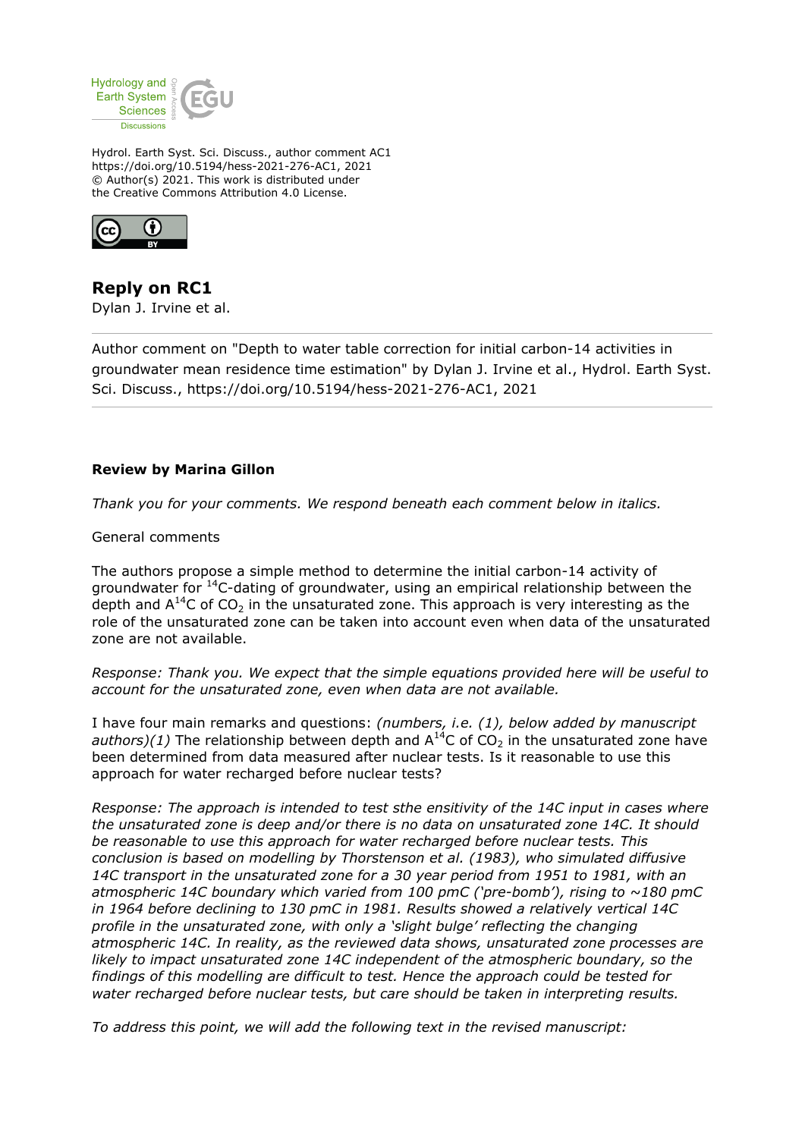

Hydrol. Earth Syst. Sci. Discuss., author comment AC1 https://doi.org/10.5194/hess-2021-276-AC1, 2021 © Author(s) 2021. This work is distributed under the Creative Commons Attribution 4.0 License.



**Reply on RC1** Dylan J. Irvine et al.

Author comment on "Depth to water table correction for initial carbon-14 activities in groundwater mean residence time estimation" by Dylan J. Irvine et al., Hydrol. Earth Syst. Sci. Discuss., https://doi.org/10.5194/hess-2021-276-AC1, 2021

## **Review by Marina Gillon**

*Thank you for your comments. We respond beneath each comment below in italics.*

General comments

The authors propose a simple method to determine the initial carbon-14 activity of groundwater for <sup>14</sup>C-dating of groundwater, using an empirical relationship between the depth and  $A^{14}C$  of  $CO<sub>2</sub>$  in the unsaturated zone. This approach is very interesting as the role of the unsaturated zone can be taken into account even when data of the unsaturated zone are not available.

*Response: Thank you. We expect that the simple equations provided here will be useful to account for the unsaturated zone, even when data are not available.*

I have four main remarks and questions: *(numbers, i.e. (1), below added by manuscript authors)(1)* The relationship between depth and  $A^{14}C$  of  $CO<sub>2</sub>$  in the unsaturated zone have been determined from data measured after nuclear tests. Is it reasonable to use this approach for water recharged before nuclear tests?

*Response: The approach is intended to test sthe ensitivity of the 14C input in cases where the unsaturated zone is deep and/or there is no data on unsaturated zone 14C. It should be reasonable to use this approach for water recharged before nuclear tests. This conclusion is based on modelling by Thorstenson et al. (1983), who simulated diffusive 14C transport in the unsaturated zone for a 30 year period from 1951 to 1981, with an atmospheric 14C boundary which varied from 100 pmC ('pre-bomb'), rising to ~180 pmC in 1964 before declining to 130 pmC in 1981. Results showed a relatively vertical 14C profile in the unsaturated zone, with only a 'slight bulge' reflecting the changing atmospheric 14C. In reality, as the reviewed data shows, unsaturated zone processes are likely to impact unsaturated zone 14C independent of the atmospheric boundary, so the findings of this modelling are difficult to test. Hence the approach could be tested for water recharged before nuclear tests, but care should be taken in interpreting results.*

*To address this point, we will add the following text in the revised manuscript:*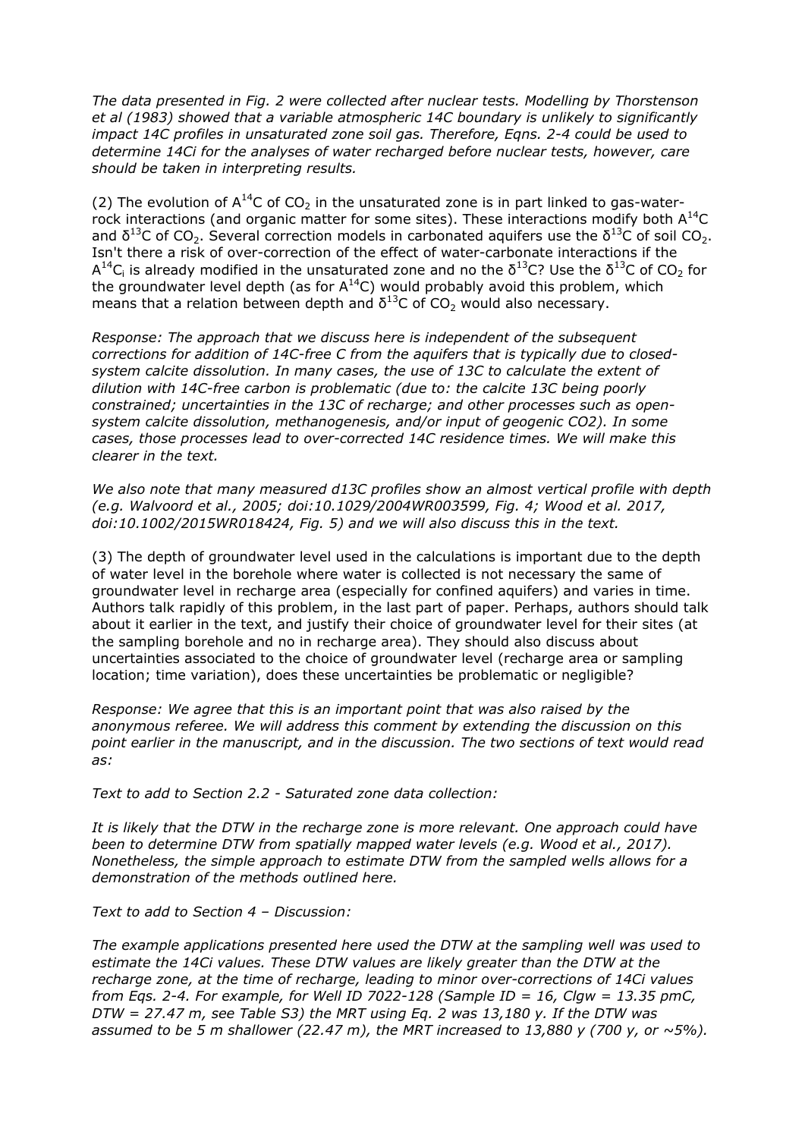*The data presented in Fig. 2 were collected after nuclear tests. Modelling by Thorstenson et al (1983) showed that a variable atmospheric 14C boundary is unlikely to significantly impact 14C profiles in unsaturated zone soil gas. Therefore, Eqns. 2-4 could be used to determine 14Ci for the analyses of water recharged before nuclear tests, however, care should be taken in interpreting results.*

(2) The evolution of  $A^{14}C$  of  $CO<sub>2</sub>$  in the unsaturated zone is in part linked to gas-waterrock interactions (and organic matter for some sites). These interactions modify both  $A^{14}C$ and  $\delta^{13}$ C of CO<sub>2</sub>. Several correction models in carbonated aquifers use the  $\delta^{13}$ C of soil CO<sub>2</sub>. Isn't there a risk of over-correction of the effect of water-carbonate interactions if the  $\mathsf{A}^{14}\mathsf{C}_\mathsf{i}$  is already modified in the unsaturated zone and no the  $\delta^{13}\mathsf{C}$ ? Use the  $\delta^{13}\mathsf{C}$  of CO<sub>2</sub> for the groundwater level depth (as for  $A^{14}C$ ) would probably avoid this problem, which means that a relation between depth and  $δ<sup>13</sup>$ C of CO<sub>2</sub> would also necessary.

*Response: The approach that we discuss here is independent of the subsequent corrections for addition of 14C-free C from the aquifers that is typically due to closedsystem calcite dissolution. In many cases, the use of 13C to calculate the extent of dilution with 14C-free carbon is problematic (due to: the calcite 13C being poorly constrained; uncertainties in the 13C of recharge; and other processes such as opensystem calcite dissolution, methanogenesis, and/or input of geogenic CO2). In some cases, those processes lead to over-corrected 14C residence times. We will make this clearer in the text.*

*We also note that many measured d13C profiles show an almost vertical profile with depth (e.g. Walvoord et al., 2005; doi:10.1029/2004WR003599, Fig. 4; Wood et al. 2017, doi:10.1002/2015WR018424, Fig. 5) and we will also discuss this in the text.*

(3) The depth of groundwater level used in the calculations is important due to the depth of water level in the borehole where water is collected is not necessary the same of groundwater level in recharge area (especially for confined aquifers) and varies in time. Authors talk rapidly of this problem, in the last part of paper. Perhaps, authors should talk about it earlier in the text, and justify their choice of groundwater level for their sites (at the sampling borehole and no in recharge area). They should also discuss about uncertainties associated to the choice of groundwater level (recharge area or sampling location; time variation), does these uncertainties be problematic or negligible?

*Response: We agree that this is an important point that was also raised by the anonymous referee. We will address this comment by extending the discussion on this point earlier in the manuscript, and in the discussion. The two sections of text would read as:*

*Text to add to Section 2.2 - Saturated zone data collection:*

*It is likely that the DTW in the recharge zone is more relevant. One approach could have been to determine DTW from spatially mapped water levels (e.g. Wood et al., 2017). Nonetheless, the simple approach to estimate DTW from the sampled wells allows for a demonstration of the methods outlined here.*

*Text to add to Section 4 – Discussion:*

*The example applications presented here used the DTW at the sampling well was used to estimate the 14Ci values. These DTW values are likely greater than the DTW at the recharge zone, at the time of recharge, leading to minor over-corrections of 14Ci values from Eqs. 2-4. For example, for Well ID 7022-128 (Sample ID = 16, Clgw = 13.35 pmC, DTW = 27.47 m, see Table S3) the MRT using Eq. 2 was 13,180 y. If the DTW was assumed to be 5 m shallower (22.47 m), the MRT increased to 13,880 y (700 y, or*  $\sim$ *5%).*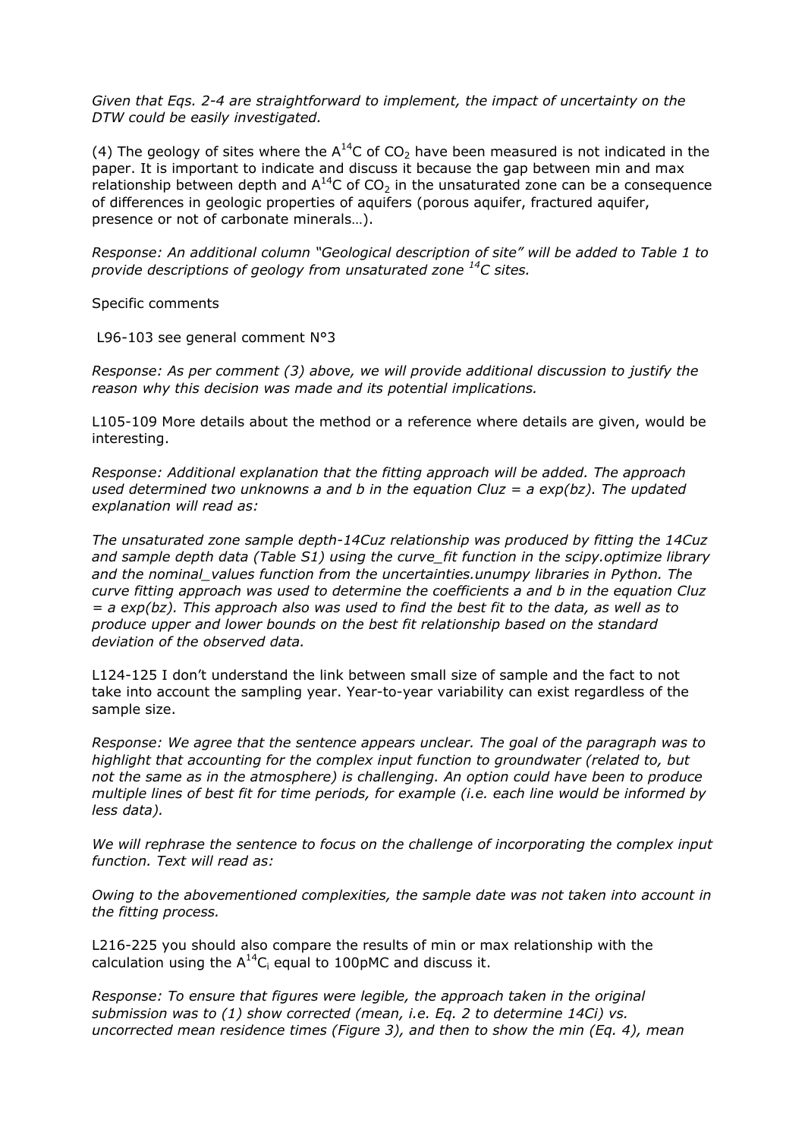*Given that Eqs. 2-4 are straightforward to implement, the impact of uncertainty on the DTW could be easily investigated.*

(4) The geology of sites where the  $A^{14}C$  of  $CO<sub>2</sub>$  have been measured is not indicated in the paper. It is important to indicate and discuss it because the gap between min and max relationship between depth and  $A^{14}C$  of  $CO<sub>2</sub>$  in the unsaturated zone can be a consequence of differences in geologic properties of aquifers (porous aquifer, fractured aquifer, presence or not of carbonate minerals…).

*Response: An additional column "Geological description of site" will be added to Table 1 to provide descriptions of geology from unsaturated zone <sup>14</sup>C sites.*

Specific comments

L96-103 see general comment N°3

*Response: As per comment (3) above, we will provide additional discussion to justify the reason why this decision was made and its potential implications.*

L105-109 More details about the method or a reference where details are given, would be interesting.

*Response: Additional explanation that the fitting approach will be added. The approach used determined two unknowns a and b in the equation Cluz = a exp(bz). The updated explanation will read as:*

*The unsaturated zone sample depth-14Cuz relationship was produced by fitting the 14Cuz and sample depth data (Table S1) using the curve\_fit function in the scipy.optimize library and the nominal\_values function from the uncertainties.unumpy libraries in Python. The curve fitting approach was used to determine the coefficients a and b in the equation Cluz = a exp(bz). This approach also was used to find the best fit to the data, as well as to produce upper and lower bounds on the best fit relationship based on the standard deviation of the observed data.*

L124-125 I don't understand the link between small size of sample and the fact to not take into account the sampling year. Year-to-year variability can exist regardless of the sample size.

*Response: We agree that the sentence appears unclear. The goal of the paragraph was to highlight that accounting for the complex input function to groundwater (related to, but not the same as in the atmosphere) is challenging. An option could have been to produce multiple lines of best fit for time periods, for example (i.e. each line would be informed by less data).*

*We will rephrase the sentence to focus on the challenge of incorporating the complex input function. Text will read as:*

*Owing to the abovementioned complexities, the sample date was not taken into account in the fitting process.*

L216-225 you should also compare the results of min or max relationship with the calculation using the  $A^{14}C_i$  equal to 100pMC and discuss it.

*Response: To ensure that figures were legible, the approach taken in the original submission was to (1) show corrected (mean, i.e. Eq. 2 to determine 14Ci) vs. uncorrected mean residence times (Figure 3), and then to show the min (Eq. 4), mean*